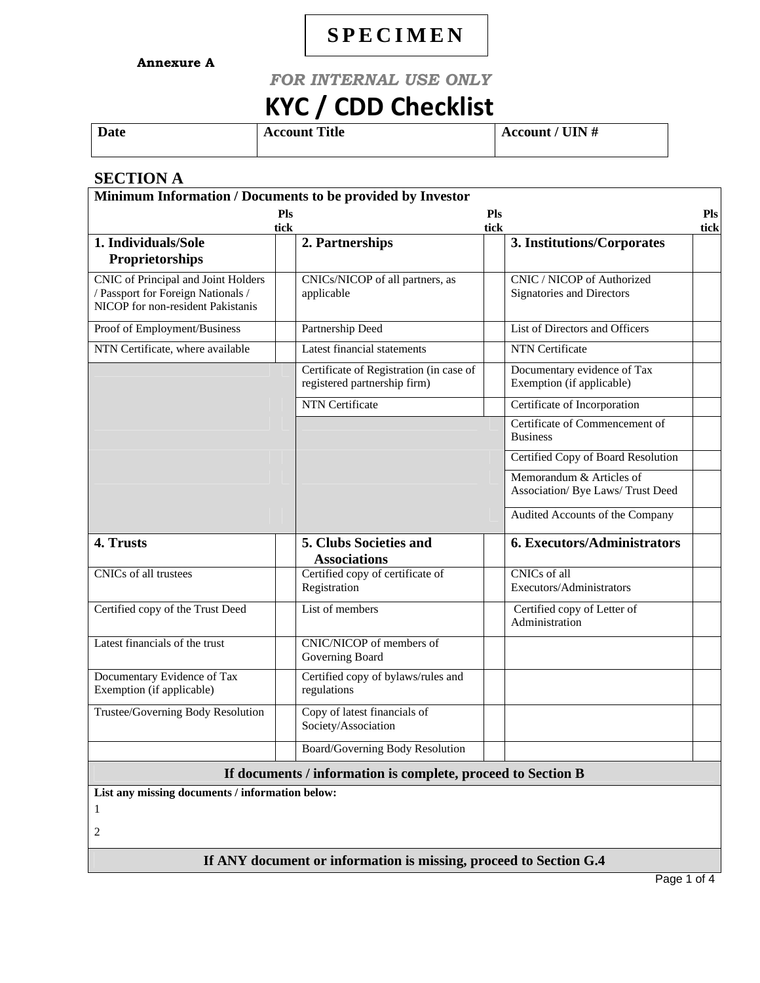# **SPECIMEN**

**Annexure A**

## *FOR INTERNAL USE ONLY*

# **KYC / CDD Checklist**

**Date** Account Title Account / UIN #

#### **SECTION A**

| Minimum Information / Documents to be provided by Investor                                                     |                                                     |                                         |                                                               |                    |  |
|----------------------------------------------------------------------------------------------------------------|-----------------------------------------------------|-----------------------------------------|---------------------------------------------------------------|--------------------|--|
|                                                                                                                | Pls<br>tick                                         |                                         | Pls<br>tick                                                   | <b>Pls</b><br>tick |  |
| 1. Individuals/Sole<br>Proprietorships                                                                         | 2. Partnerships                                     |                                         | 3. Institutions/Corporates                                    |                    |  |
| CNIC of Principal and Joint Holders<br>/ Passport for Foreign Nationals /<br>NICOP for non-resident Pakistanis | CNICs/NICOP of all partners, as<br>applicable       |                                         | CNIC / NICOP of Authorized<br>Signatories and Directors       |                    |  |
| Proof of Employment/Business                                                                                   | Partnership Deed                                    |                                         | List of Directors and Officers                                |                    |  |
| NTN Certificate, where available                                                                               | Latest financial statements                         |                                         | NTN Certificate                                               |                    |  |
|                                                                                                                | registered partnership firm)                        | Certificate of Registration (in case of | Documentary evidence of Tax<br>Exemption (if applicable)      |                    |  |
|                                                                                                                | <b>NTN</b> Certificate                              |                                         | Certificate of Incorporation                                  |                    |  |
|                                                                                                                |                                                     |                                         | Certificate of Commencement of<br><b>Business</b>             |                    |  |
|                                                                                                                |                                                     |                                         | Certified Copy of Board Resolution                            |                    |  |
|                                                                                                                |                                                     |                                         | Memorandum & Articles of<br>Association/ Bye Laws/ Trust Deed |                    |  |
|                                                                                                                |                                                     |                                         | Audited Accounts of the Company                               |                    |  |
| 4. Trusts                                                                                                      | 5. Clubs Societies and<br><b>Associations</b>       |                                         | <b>6. Executors/Administrators</b>                            |                    |  |
| CNICs of all trustees                                                                                          | Certified copy of certificate of<br>Registration    |                                         | CNICs of all<br>Executors/Administrators                      |                    |  |
| Certified copy of the Trust Deed                                                                               | List of members                                     |                                         | Certified copy of Letter of<br>Administration                 |                    |  |
| Latest financials of the trust                                                                                 | CNIC/NICOP of members of<br>Governing Board         |                                         |                                                               |                    |  |
| Documentary Evidence of Tax<br>Exemption (if applicable)                                                       | Certified copy of bylaws/rules and<br>regulations   |                                         |                                                               |                    |  |
| Trustee/Governing Body Resolution                                                                              | Copy of latest financials of<br>Society/Association |                                         |                                                               |                    |  |
|                                                                                                                | Board/Governing Body Resolution                     |                                         |                                                               |                    |  |
| If documents / information is complete, proceed to Section B                                                   |                                                     |                                         |                                                               |                    |  |

**List any missing documents / information below:** 

1

2

**If ANY document or information is missing, proceed to Section G.4**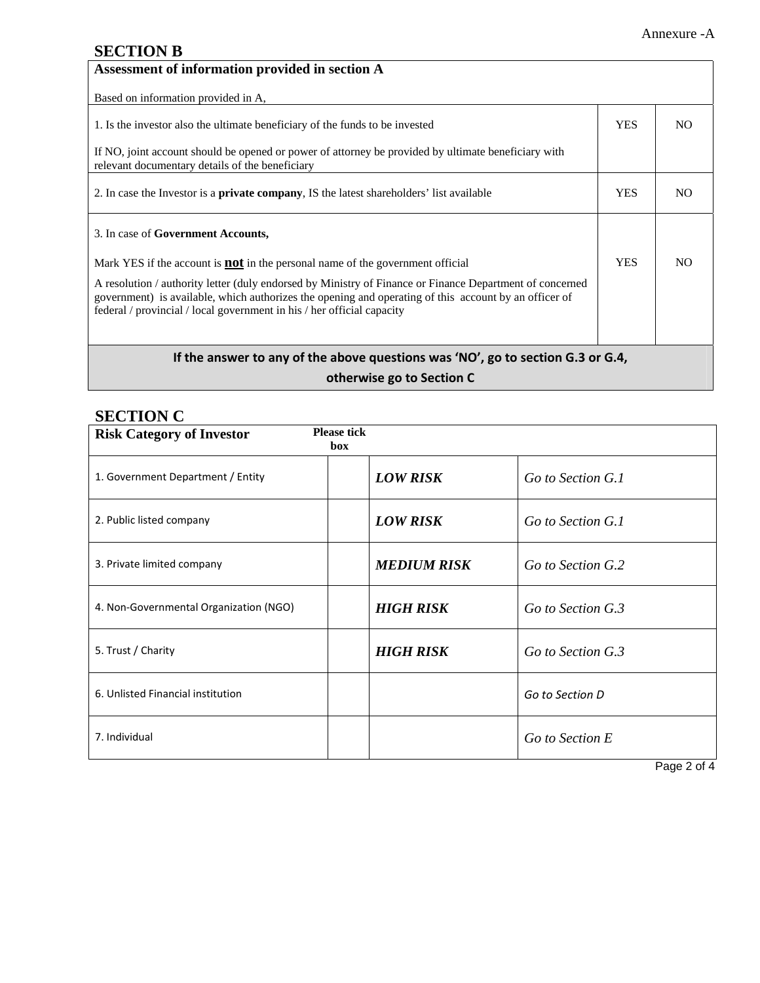#### **SECTION B**

| Assessment of information provided in section A                                                                                                                                                                                                                                             |            |     |
|---------------------------------------------------------------------------------------------------------------------------------------------------------------------------------------------------------------------------------------------------------------------------------------------|------------|-----|
| Based on information provided in A,                                                                                                                                                                                                                                                         |            |     |
| 1. Is the investor also the ultimate beneficiary of the funds to be invested                                                                                                                                                                                                                | <b>YES</b> | NO. |
| If NO, joint account should be opened or power of attorney be provided by ultimate beneficiary with<br>relevant documentary details of the beneficiary                                                                                                                                      |            |     |
| 2. In case the Investor is a <b>private company</b> , IS the latest shareholders' list available                                                                                                                                                                                            | <b>YES</b> | NO. |
| 3. In case of <b>Government Accounts</b> ,                                                                                                                                                                                                                                                  |            |     |
| Mark YES if the account is $not$ in the personal name of the government official                                                                                                                                                                                                            | <b>YES</b> | NO. |
| A resolution / authority letter (duly endorsed by Ministry of Finance or Finance Department of concerned<br>government) is available, which authorizes the opening and operating of this account by an officer of<br>federal / provincial / local government in his / her official capacity |            |     |
| If the answer to any of the above questions was 'NO', go to section G.3 or G.4,                                                                                                                                                                                                             |            |     |

**otherwise go to Section C**

#### **SECTION C**

| <b>Please tick</b><br><b>Risk Category of Investor</b><br>box |                    |                   |
|---------------------------------------------------------------|--------------------|-------------------|
| 1. Government Department / Entity                             | <b>LOW RISK</b>    | Go to Section G.1 |
| 2. Public listed company                                      | <b>LOW RISK</b>    | Go to Section G.1 |
| 3. Private limited company                                    | <b>MEDIUM RISK</b> | Go to Section G.2 |
| 4. Non-Governmental Organization (NGO)                        | <b>HIGH RISK</b>   | Go to Section G.3 |
| 5. Trust / Charity                                            | <b>HIGH RISK</b>   | Go to Section G.3 |
| 6. Unlisted Financial institution                             |                    | Go to Section D   |
| 7. Individual                                                 |                    | Go to Section E   |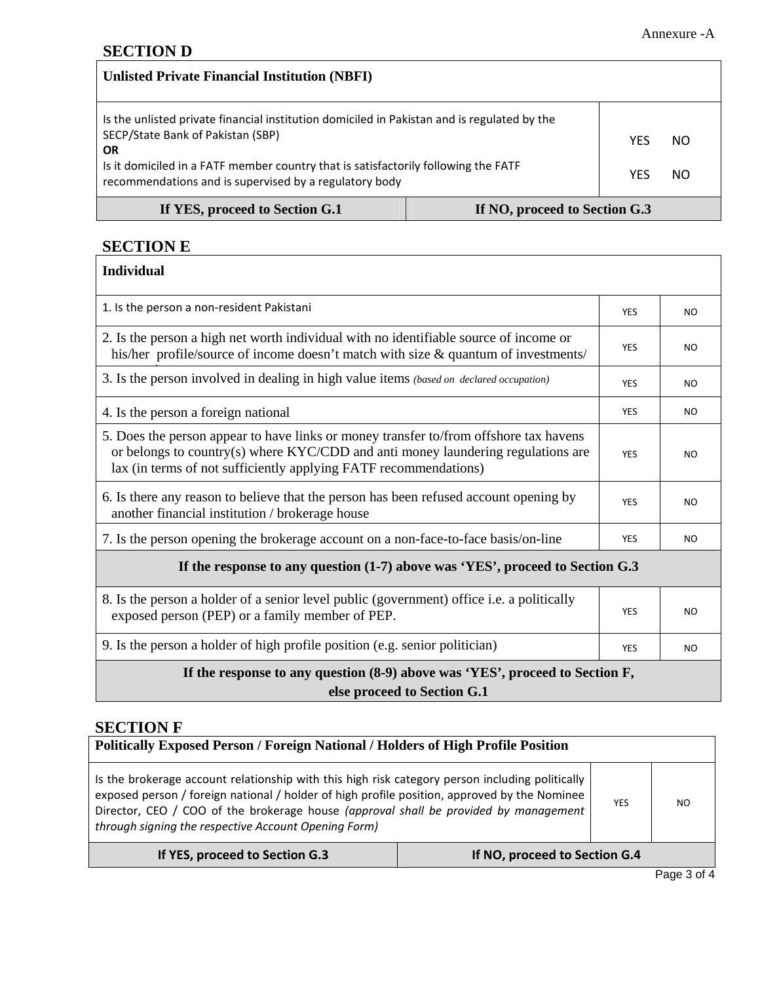| <b>Unlisted Private Financial Institution (NBFI)</b>                                                                                                                                                                                                                                          |  |            |           |
|-----------------------------------------------------------------------------------------------------------------------------------------------------------------------------------------------------------------------------------------------------------------------------------------------|--|------------|-----------|
| Is the unlisted private financial institution domiciled in Pakistan and is regulated by the<br>SECP/State Bank of Pakistan (SBP)<br><b>OR</b><br>Is it domiciled in a FATF member country that is satisfactorily following the FATF<br>recommendations and is supervised by a regulatory body |  | YES<br>YES | NO.<br>NO |
| If YES, proceed to Section G.1<br>If NO, proceed to Section G.3                                                                                                                                                                                                                               |  |            |           |

**SECTION E**

| <b>Individual</b>                                                                                                                                                                                                                               |            |                |  |
|-------------------------------------------------------------------------------------------------------------------------------------------------------------------------------------------------------------------------------------------------|------------|----------------|--|
| 1. Is the person a non-resident Pakistani                                                                                                                                                                                                       | <b>YES</b> | N <sub>O</sub> |  |
| 2. Is the person a high net worth individual with no identifiable source of income or<br>his/her profile/source of income doesn't match with size & quantum of investments/                                                                     | <b>YES</b> | <b>NO</b>      |  |
| 3. Is the person involved in dealing in high value items (based on declared occupation)                                                                                                                                                         | <b>YES</b> | <b>NO</b>      |  |
| 4. Is the person a foreign national                                                                                                                                                                                                             | <b>YES</b> | <b>NO</b>      |  |
| 5. Does the person appear to have links or money transfer to/from offshore tax havens<br>or belongs to country(s) where $KYC/CDD$ and anti-money laundering regulations are<br>lax (in terms of not sufficiently applying FATF recommendations) | <b>YES</b> | <b>NO</b>      |  |
| 6. Is there any reason to believe that the person has been refused account opening by<br>another financial institution / brokerage house                                                                                                        | <b>YES</b> | <b>NO</b>      |  |
| 7. Is the person opening the brokerage account on a non-face-to-face basis/on-line                                                                                                                                                              | <b>YES</b> | <b>NO</b>      |  |
| If the response to any question (1-7) above was 'YES', proceed to Section G.3                                                                                                                                                                   |            |                |  |
| 8. Is the person a holder of a senior level public (government) office i.e. a politically<br>exposed person (PEP) or a family member of PEP.                                                                                                    | <b>YES</b> | <b>NO</b>      |  |
| 9. Is the person a holder of high profile position (e.g. senior politician)                                                                                                                                                                     | <b>YES</b> | <b>NO</b>      |  |
| If the response to any question (8-9) above was 'YES', proceed to Section F,                                                                                                                                                                    |            |                |  |

**else proceed to Section G.1** 

## **SECTION F**

| <b>Politically Exposed Person / Foreign National / Holders of High Profile Position</b>                                                                                                                                                                                                                                                                              |                               |  |  |
|----------------------------------------------------------------------------------------------------------------------------------------------------------------------------------------------------------------------------------------------------------------------------------------------------------------------------------------------------------------------|-------------------------------|--|--|
| Is the brokerage account relationship with this high risk category person including politically<br>exposed person / foreign national / holder of high profile position, approved by the Nominee<br><b>YES</b><br>NO.<br>Director, CEO / COO of the brokerage house (approval shall be provided by management<br>through signing the respective Account Opening Form) |                               |  |  |
| If YES, proceed to Section G.3                                                                                                                                                                                                                                                                                                                                       | If NO, proceed to Section G.4 |  |  |